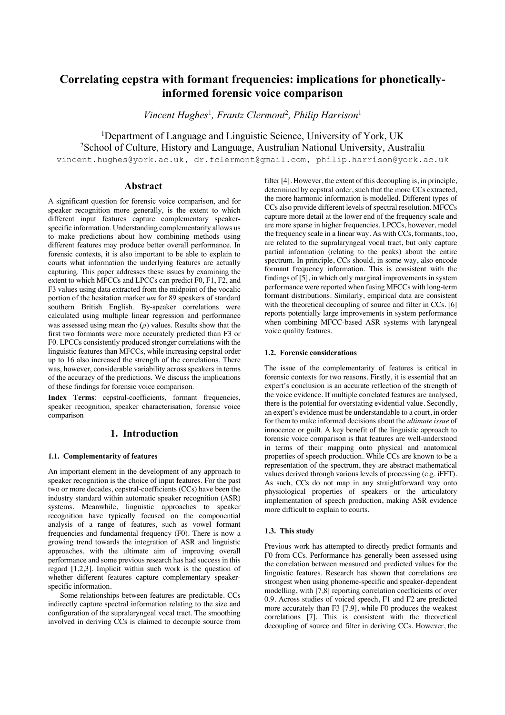# **Correlating cepstra with formant frequencies: implications for phoneticallyinformed forensic voice comparison**

*Vincent Hughes*<sup>1</sup> *, Frantz Clermont*<sup>2</sup> *, Philip Harrison*<sup>1</sup>

<sup>1</sup>Department of Language and Linguistic Science, University of York, UK 2 School of Culture, History and Language, Australian National University, Australia

vincent.hughes@york.ac.uk, dr.fclermont@gmail.com, philip.harrison@york.ac.uk

# **Abstract**

A significant question for forensic voice comparison, and for speaker recognition more generally, is the extent to which different input features capture complementary speakerspecific information. Understanding complementarity allows us to make predictions about how combining methods using different features may produce better overall performance. In forensic contexts, it is also important to be able to explain to courts what information the underlying features are actually capturing. This paper addresses these issues by examining the extent to which MFCCs and LPCCs can predict F0, F1, F2, and F3 values using data extracted from the midpoint of the vocalic portion of the hesitation marker *um* for 89 speakers of standard southern British English. By-speaker correlations were calculated using multiple linear regression and performance was assessed using mean rho  $(\rho)$  values. Results show that the first two formants were more accurately predicted than F3 or F0. LPCCs consistently produced stronger correlations with the linguistic features than MFCCs, while increasing cepstral order up to 16 also increased the strength of the correlations. There was, however, considerable variability across speakers in terms of the accuracy of the predictions. We discuss the implications of these findings for forensic voice comparison.

**Index Terms**: cepstral-coefficients, formant frequencies, speaker recognition, speaker characterisation, forensic voice comparison

# **1. Introduction**

## **1.1. Complementarity of features**

An important element in the development of any approach to speaker recognition is the choice of input features. For the past two or more decades, cepstral-coefficients (CCs) have been the industry standard within automatic speaker recognition (ASR) systems. Meanwhile, linguistic approaches to speaker recognition have typically focused on the componential analysis of a range of features, such as vowel formant frequencies and fundamental frequency (F0). There is now a growing trend towards the integration of ASR and linguistic approaches, with the ultimate aim of improving overall performance and some previous research has had success in this regard [1,2,3]. Implicit within such work is the question of whether different features capture complementary speakerspecific information.

Some relationships between features are predictable. CCs indirectly capture spectral information relating to the size and configuration of the supralaryngeal vocal tract. The smoothing involved in deriving CCs is claimed to decouple source from filter [4]. However, the extent of this decoupling is, in principle, determined by cepstral order, such that the more CCs extracted, the more harmonic information is modelled. Different types of CCs also provide different levels of spectral resolution. MFCCs capture more detail at the lower end of the frequency scale and are more sparse in higher frequencies. LPCCs, however, model the frequency scale in a linear way. As with CCs, formants, too, are related to the supralaryngeal vocal tract, but only capture partial information (relating to the peaks) about the entire spectrum. In principle, CCs should, in some way, also encode formant frequency information. This is consistent with the findings of [5], in which only marginal improvements in system performance were reported when fusing MFCCs with long-term formant distributions. Similarly, empirical data are consistent with the theoretical decoupling of source and filter in CCs. [6] reports potentially large improvements in system performance when combining MFCC-based ASR systems with laryngeal voice quality features.

## **1.2. Forensic considerations**

The issue of the complementarity of features is critical in forensic contexts for two reasons. Firstly, it is essential that an expert's conclusion is an accurate reflection of the strength of the voice evidence. If multiple correlated features are analysed, there is the potential for overstating evidential value. Secondly, an expert's evidence must be understandable to a court, in order for them to make informed decisions about the *ultimate issue* of innocence or guilt. A key benefit of the linguistic approach to forensic voice comparison is that features are well-understood in terms of their mapping onto physical and anatomical properties of speech production. While CCs are known to be a representation of the spectrum, they are abstract mathematical values derived through various levels of processing (e.g. iFFT). As such, CCs do not map in any straightforward way onto physiological properties of speakers or the articulatory implementation of speech production, making ASR evidence more difficult to explain to courts.

#### **1.3. This study**

Previous work has attempted to directly predict formants and F0 from CCs. Performance has generally been assessed using the correlation between measured and predicted values for the linguistic features. Research has shown that correlations are strongest when using phoneme-specific and speaker-dependent modelling, with [7,8] reporting correlation coefficients of over 0.9. Across studies of voiced speech, F1 and F2 are predicted more accurately than F3 [7,9], while F0 produces the weakest correlations [7]. This is consistent with the theoretical decoupling of source and filter in deriving CCs. However, the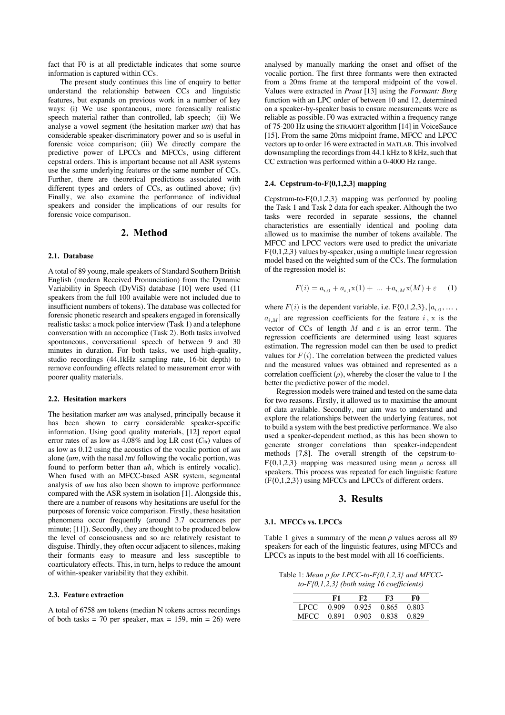fact that F0 is at all predictable indicates that some source information is captured within CCs.

The present study continues this line of enquiry to better understand the relationship between CCs and linguistic features, but expands on previous work in a number of key ways: (i) We use spontaneous, more forensically realistic speech material rather than controlled, lab speech; (ii) We analyse a vowel segment (the hesitation marker *um*) that has considerable speaker-discriminatory power and so is useful in forensic voice comparison; (iii) We directly compare the predictive power of LPCCs and MFCCs, using different cepstral orders. This is important because not all ASR systems use the same underlying features or the same number of CCs. Further, there are theoretical predictions associated with different types and orders of CCs, as outlined above; (iv) Finally, we also examine the performance of individual speakers and consider the implications of our results for forensic voice comparison.

# **2. Method**

### **2.1. Database**

A total of 89 young, male speakers of Standard Southern British English (modern Received Pronunciation) from the Dynamic Variability in Speech (DyViS) database [10] were used (11 speakers from the full 100 available were not included due to insufficient numbers of tokens). The database was collected for forensic phonetic research and speakers engaged in forensically realistic tasks: a mock police interview (Task 1) and a telephone conversation with an accomplice (Task 2). Both tasks involved spontaneous, conversational speech of between 9 and 30 minutes in duration. For both tasks, we used high-quality, studio recordings (44.1kHz sampling rate, 16-bit depth) to remove confounding effects related to measurement error with poorer quality materials.

## **2.2. Hesitation markers**

The hesitation marker *um* was analysed, principally because it has been shown to carry considerable speaker-specific information. Using good quality materials, [12] report equal error rates of as low as  $4.08\%$  and log LR cost ( $C_{llr}$ ) values of as low as 0.12 using the acoustics of the vocalic portion of *um* alone (*um*, with the nasal /m/ following the vocalic portion, was found to perform better than *uh*, which is entirely vocalic). When fused with an MFCC-based ASR system, segmental analysis of *um* has also been shown to improve performance compared with the ASR system in isolation [1]. Alongside this, there are a number of reasons why hesitations are useful for the purposes of forensic voice comparison. Firstly, these hesitation phenomena occur frequently (around 3.7 occurrences per minute; [11]). Secondly, they are thought to be produced below the level of consciousness and so are relatively resistant to disguise. Thirdly, they often occur adjacent to silences, making their formants easy to measure and less susceptible to coarticulatory effects. This, in turn, helps to reduce the amount of within-speaker variability that they exhibit.

#### **2.3. Feature extraction**

A total of 6758 *um* tokens (median N tokens across recordings of both tasks = 70 per speaker, max = 159, min = 26) were analysed by manually marking the onset and offset of the vocalic portion. The first three formants were then extracted from a 20ms frame at the temporal midpoint of the vowel. Values were extracted in *Praat* [13] using the *Formant: Burg* function with an LPC order of between 10 and 12, determined on a speaker-by-speaker basis to ensure measurements were as reliable as possible. F0 was extracted within a frequency range of 75-200 Hz using the STRAIGHT algorithm [14] in VoiceSauce [15]. From the same 20ms midpoint frame, MFCC and LPCC vectors up to order 16 were extracted in MATLAB. This involved downsampling the recordings from 44.1 kHz to 8 kHz, such that CC extraction was performed within a 0-4000 Hz range.

## **2.4. Cepstrum-to-F{0,1,2,3} mapping**

Cepstrum-to- $F\{0,1,2,3\}$  mapping was performed by pooling the Task 1 and Task 2 data for each speaker. Although the two tasks were recorded in separate sessions, the channel characteristics are essentially identical and pooling data allowed us to maximise the number of tokens available. The MFCC and LPCC vectors were used to predict the univariate F{0,1,2,3} values by-speaker, using a multiple linear regression model based on the weighted sum of the CCs. The formulation of the regression model is:

$$
F(i) = a_{i,0} + a_{i,1}{\bf x}(1) + \ \ldots \ + a_{i,M}{\bf x}(M) + \varepsilon \qquad (1)
$$

where  $F(i)$  is the dependent variable, i.e.  $F\{0,1,2,3\}$ ,  $[a_{i,0}, \ldots,$  $a_{i,M}$  are regression coefficients for the feature i, x is the vector of CCs of length  $M$  and  $\varepsilon$  is an error term. The regression coefficients are determined using least squares estimation. The regression model can then be used to predict values for  $F(i)$ . The correlation between the predicted values and the measured values was obtained and represented as a correlation coefficient  $(\rho)$ , whereby the closer the value to 1 the better the predictive power of the model.

Regression models were trained and tested on the same data for two reasons. Firstly, it allowed us to maximise the amount of data available. Secondly, our aim was to understand and explore the relationships between the underlying features, not to build a system with the best predictive performance. We also used a speaker-dependent method, as this has been shown to generate stronger correlations than speaker-independent methods [7,8]. The overall strength of the cepstrum-to-F $\{0,1,2,3\}$  mapping was measured using mean  $\rho$  across all speakers. This process was repeated for each linguistic feature (F{0,1,2,3}) using MFCCs and LPCCs of different orders.

# **3. Results**

#### **3.1. MFCCs vs. LPCCs**

Table 1 gives a summary of the mean  $\rho$  values across all 89 speakers for each of the linguistic features, using MFCCs and LPCCs as inputs to the best model with all 16 coefficients.

Table 1: *Mean for LPCC-to-F{0,1,2,3} and MFCCto-F{0,1,2,3} (both using 16 coefficients)*

|       | F1.                    | F2. | F3.               | F0     |
|-------|------------------------|-----|-------------------|--------|
|       | LPCC 0.909 0.925 0.865 |     |                   | -0.803 |
| MECC. | 0.891                  |     | 0.903 0.838 0.829 |        |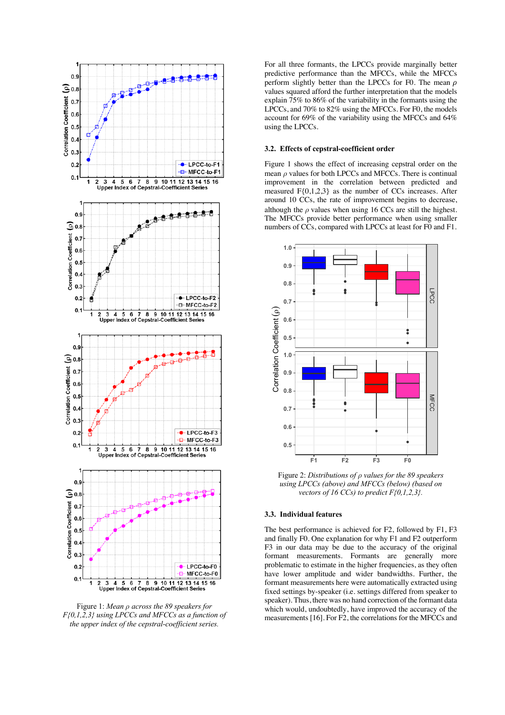

Figure 1: *Mean across the 89 speakers for F{0,1,2,3} using LPCCs and MFCCs as a function of*  the upper index of the cepstral-coefficient series.

For all three formants, the LPCCs provide marginally better predictive performance than the MFCCs, while the MFCCs perform slightly better than the LPCCs for F0. The mean  $\rho$ values squared afford the further interpretation that the models explain  $\frac{75}{%}$  to 86% of the variability in the formants using the LPCCs, and 70% to 82% using the MFCCs. For F0, the models account for 69% of the variability using the MFCCs and 64% using the LPCCs.

## **3.2. Effects of cepstral-coefficient order**

Figure 1 shows the effect of increasing cepstral order on the mean  $\rho$  values for both LPCCs and MFCCs. There is continual improvement in the correlation between predicted and measured F{0,1,2,3} as the number of CCs increases. After around 10 CCs, the rate of improvement begins to decrease, although the  $\rho$  values when using 16 CCs are still the highest. The MFCCs provide better performance when using smaller numbers of CCs, compared with LPCCs at least for F0 and F1.



Figure 2: *Distributions of values for the 89 speakers using LPCCs (above) and MFCCs (below) (based on vectors of 16 CCs) to predict F{0,1,2,3}.*

#### **3.3. Individual features**

The best performance is achieved for F2, followed by F1, F3 and finally F0. One explanation for why F1 and F2 outperform F3 in our data may be due to the accuracy of the original formant measurements. Formants are generally more problematic to estimate in the higher frequencies, as they often have lower amplitude and wider bandwidths. Further, the formant measurements here were automatically extracted using fixed settings by-speaker (i.e. settings differed from speaker to speaker). Thus, there was no hand correction of the formant data which would, undoubtedly, have improved the accuracy of the measurements [16]. For F2, the correlations for the MFCCs and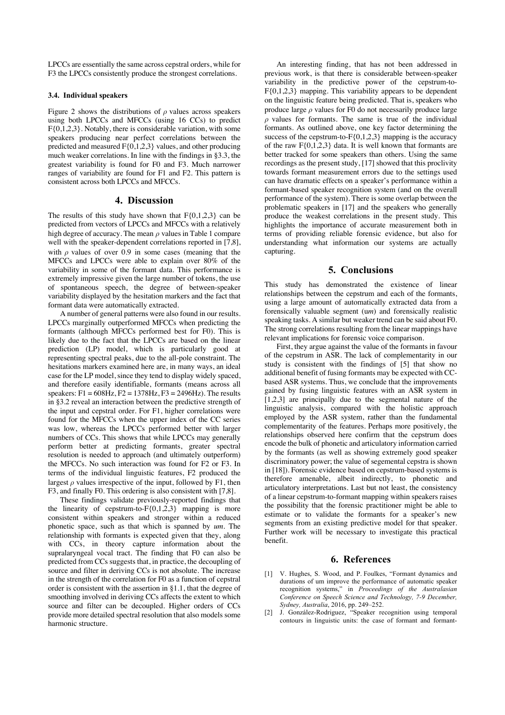LPCCs are essentially the same across cepstral orders, while for F3 the LPCCs consistently produce the strongest correlations.

#### **3.4. Individual speakers**

Figure 2 shows the distributions of  $\rho$  values across speakers using both LPCCs and MFCCs (using 16 CCs) to predict F{0,1,2,3}. Notably, there is considerable variation, with some speakers producing near perfect correlations between the predicted and measured  $F{0,1,2,3}$  values, and other producing much weaker correlations. In line with the findings in §3.3, the greatest variability is found for F0 and F3. Much narrower ranges of variability are found for F1 and F2. This pattern is consistent across both LPCCs and MFCCs.

# **4. Discussion**

The results of this study have shown that  $F\{0,1,2,3\}$  can be predicted from vectors of LPCCs and MFCCs with a relatively high degree of accuracy. The mean  $\rho$  values in Table 1 compare well with the speaker-dependent correlations reported in [7,8], with  $\rho$  values of over 0.9 in some cases (meaning that the MFCCs and LPCCs were able to explain over 80% of the variability in some of the formant data. This performance is extremely impressive given the large number of tokens, the use of spontaneous speech, the degree of between-speaker variability displayed by the hesitation markers and the fact that formant data were automatically extracted.

A number of general patterns were also found in our results. LPCCs marginally outperformed MFCCs when predicting the formants (although MFCCs performed best for F0). This is likely due to the fact that the LPCCs are based on the linear prediction (LP) model, which is particularly good at representing spectral peaks, due to the all-pole constraint. The hesitations markers examined here are, in many ways, an ideal case for the LP model, since they tend to display widely spaced, and therefore easily identifiable, formants (means across all speakers:  $F1 = 608$ Hz,  $F2 = 1378$ Hz,  $F3 = 2496$ Hz). The results in §3.2 reveal an interaction between the predictive strength of the input and cepstral order. For F1, higher correlations were found for the MFCCs when the upper index of the CC series was low, whereas the LPCCs performed better with larger numbers of CCs. This shows that while LPCCs may generally perform better at predicting formants, greater spectral resolution is needed to approach (and ultimately outperform) the MFCCs. No such interaction was found for F2 or F3. In terms of the individual linguistic features, F2 produced the largest  $\rho$  values irrespective of the input, followed by F1, then F3, and finally F0. This ordering is also consistent with [7,8].

These findings validate previously-reported findings that the linearity of cepstrum-to- $F\{0,1,2,3\}$  mapping is more consistent within speakers and stronger within a reduced phonetic space, such as that which is spanned by *um*. The relationship with formants is expected given that they, along with CCs, in theory capture information about the supralaryngeal vocal tract. The finding that F0 can also be predicted from CCs suggests that, in practice, the decoupling of source and filter in deriving CCs is not absolute. The increase in the strength of the correlation for F0 as a function of cepstral order is consistent with the assertion in §1.1, that the degree of smoothing involved in deriving CCs affects the extent to which source and filter can be decoupled. Higher orders of CCs provide more detailed spectral resolution that also models some harmonic structure.

An interesting finding, that has not been addressed in previous work, is that there is considerable between-speaker variability in the predictive power of the cepstrum-to- $F\{0,1,2,3\}$  mapping. This variability appears to be dependent on the linguistic feature being predicted. That is, speakers who produce large  $\rho$  values for F0 do not necessarily produce large  $\rho$  values for formants. The same is true of the individual formants. As outlined above, one key factor determining the success of the cepstrum-to- $F\{0,1,2,3\}$  mapping is the accuracy of the raw F{0,1,2,3} data. It is well known that formants are better tracked for some speakers than others. Using the same recordings as the present study, [17] showed that this proclivity towards formant measurement errors due to the settings used can have dramatic effects on a speaker's performance within a formant-based speaker recognition system (and on the overall performance of the system). There is some overlap between the problematic speakers in [17] and the speakers who generally produce the weakest correlations in the present study. This highlights the importance of accurate measurement both in terms of providing reliable forensic evidence, but also for understanding what information our systems are actually capturing.

# **5. Conclusions**

This study has demonstrated the existence of linear relationships between the cepstrum and each of the formants, using a large amount of automatically extracted data from a forensically valuable segment (u*m*) and forensically realistic speaking tasks. A similar but weaker trend can be said about F0. The strong correlations resulting from the linear mappings have relevant implications for forensic voice comparison.

First, they argue against the value of the formants in favour of the cepstrum in ASR. The lack of complementarity in our study is consistent with the findings of [5] that show no additional benefit of fusing formants may be expected with CCbased ASR systems. Thus, we conclude that the improvements gained by fusing linguistic features with an ASR system in [1,2,3] are principally due to the segmental nature of the linguistic analysis, compared with the holistic approach employed by the ASR system, rather than the fundamental complementarity of the features. Perhaps more positively, the relationships observed here confirm that the cepstrum does encode the bulk of phonetic and articulatory information carried by the formants (as well as showing extremely good speaker discriminatory power; the value of segemental cepstra is shown in [18]). Forensic evidence based on cepstrum-based systems is therefore amenable, albeit indirectly, to phonetic and articulatory interpretations. Last but not least, the consistency of a linear cepstrum-to-formant mapping within speakers raises the possibility that the forensic practitioner might be able to estimate or to validate the formants for a speaker's new segments from an existing predictive model for that speaker. Further work will be necessary to investigate this practical benefit.

# **6. References**

- [1] V. Hughes, S. Wood, and P. Foulkes, "Formant dynamics and durations of um improve the performance of automatic speaker recognition systems," in *Proceedings of the Australasian Conference on Speech Science and Technology, 7-9 December, Sydney, Australia*, 2016, pp. 249–252.
- [2] J. González-Rodriguez, "Speaker recognition using temporal contours in linguistic units: the case of formant and formant-